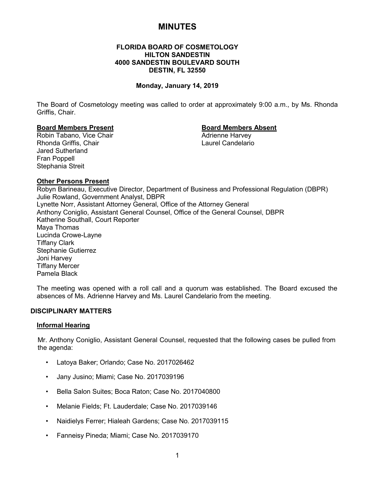# **MINUTES**

# **FLORIDA BOARD OF COSMETOLOGY HILTON SANDESTIN 4000 SANDESTIN BOULEVARD SOUTH DESTIN, FL 32550**

# **Monday, January 14, 2019**

The Board of Cosmetology meeting was called to order at approximately 9:00 a.m., by Ms. Rhonda Griffis, Chair.

# **Board Members Present Board Members Absent**

Robin Tabano, Vice Chair Rhonda Griffis, Chair Laurel Candelario Jared Sutherland Fran Poppell Stephania Streit

#### **Other Persons Present**

Robyn Barineau, Executive Director, Department of Business and Professional Regulation (DBPR) Julie Rowland, Government Analyst, DBPR Lynette Norr, Assistant Attorney General, Office of the Attorney General Anthony Coniglio, Assistant General Counsel, Office of the General Counsel, DBPR Katherine Southall, Court Reporter Maya Thomas Lucinda Crowe-Layne Tiffany Clark Stephanie Gutierrez Joni Harvey Tiffany Mercer Pamela Black

The meeting was opened with a roll call and a quorum was established. The Board excused the absences of Ms. Adrienne Harvey and Ms. Laurel Candelario from the meeting.

# **DISCIPLINARY MATTERS**

# **Informal Hearing**

Mr. Anthony Coniglio, Assistant General Counsel, requested that the following cases be pulled from the agenda:

- Latoya Baker; Orlando; Case No. 2017026462
- Jany Jusino; Miami; Case No. 2017039196
- Bella Salon Suites; Boca Raton; Case No. 2017040800
- Melanie Fields; Ft. Lauderdale; Case No. 2017039146
- Naidielys Ferrer; Hialeah Gardens; Case No. 2017039115
- Fanneisy Pineda; Miami; Case No. 2017039170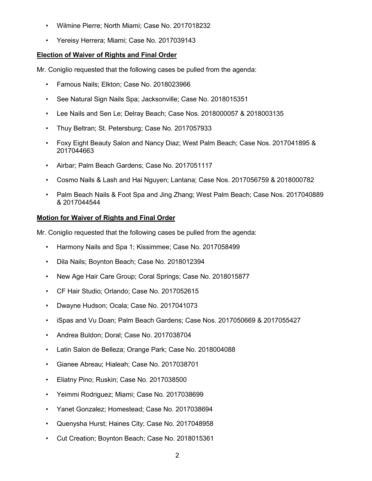- Wilmine Pierre; North Miami; Case No. 2017018232
- Yereisy Herrera; Miami; Case No. 2017039143

# **Election of Waiver of Rights and Final Order**

Mr. Coniglio requested that the following cases be pulled from the agenda:

- Famous Nails; Elkton; Case No. 2018023966
- See Natural Sign Nails Spa; Jacksonville; Case No. 2018015351
- Lee Nails and Sen Le; Delray Beach; Case Nos. 2018000057 & 2018003135
- Thuy Beltran; St. Petersburg; Case No. 2017057933
- Foxy Eight Beauty Salon and Nancy Diaz; West Palm Beach; Case Nos. 2017041895 & 2017044663
- Airbar; Palm Beach Gardens; Case No. 2017051117
- Cosmo Nails & Lash and Hai Nguyen; Lantana; Case Nos. 2017056759 & 2018000782
- Palm Beach Nails & Foot Spa and Jing Zhang; West Palm Beach; Case Nos. 2017040889 & 2017044544

# **Motion for Waiver of Rights and Final Order**

Mr. Coniglio requested that the following cases be pulled from the agenda:

- Harmony Nails and Spa 1; Kissimmee; Case No. 2017058499
- Dila Nails; Boynton Beach; Case No. 2018012394
- New Age Hair Care Group; Coral Springs; Case No. 2018015877
- CF Hair Studio; Orlando; Case No. 2017052615
- Dwayne Hudson; Ocala; Case No. 2017041073
- iSpas and Vu Doan; Palm Beach Gardens; Case Nos. 2017050669 & 2017055427
- Andrea Buldon; Doral; Case No. 2017038704
- Latin Salon de Belleza; Orange Park; Case No. 2018004088
- Gianee Abreau; Hialeah; Case No. 2017038701
- Eliatny Pino; Ruskin; Case No. 2017038500
- Yeimmi Rodriguez; Miami; Case No. 2017038699
- Yanet Gonzalez; Homestead; Case No. 2017038694
- Quenysha Hurst; Haines City; Case No. 2017048958
- Cut Creation; Boynton Beach; Case No. 2018015361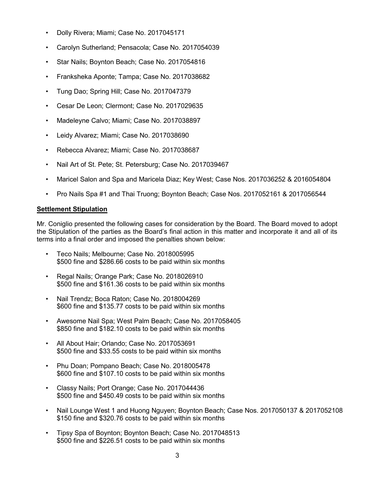- Dolly Rivera; Miami; Case No. 2017045171
- Carolyn Sutherland; Pensacola; Case No. 2017054039
- Star Nails; Boynton Beach; Case No. 2017054816
- Franksheka Aponte; Tampa; Case No. 2017038682
- Tung Dao; Spring Hill; Case No. 2017047379
- Cesar De Leon; Clermont; Case No. 2017029635
- Madeleyne Calvo; Miami; Case No. 2017038897
- Leidy Alvarez; Miami; Case No. 2017038690
- Rebecca Alvarez; Miami; Case No. 2017038687
- Nail Art of St. Pete; St. Petersburg; Case No. 2017039467
- Maricel Salon and Spa and Maricela Diaz; Key West; Case Nos. 2017036252 & 2016054804
- Pro Nails Spa #1 and Thai Truong; Boynton Beach; Case Nos. 2017052161 & 2017056544

# **Settlement Stipulation**

Mr. Coniglio presented the following cases for consideration by the Board. The Board moved to adopt the Stipulation of the parties as the Board's final action in this matter and incorporate it and all of its terms into a final order and imposed the penalties shown below:

- Teco Nails; Melbourne; Case No. 2018005995 \$500 fine and \$286.66 costs to be paid within six months
- Regal Nails; Orange Park; Case No. 2018026910 \$500 fine and \$161.36 costs to be paid within six months
- Nail Trendz; Boca Raton; Case No. 2018004269 \$600 fine and \$135.77 costs to be paid within six months
- Awesome Nail Spa; West Palm Beach; Case No. 2017058405 \$850 fine and \$182.10 costs to be paid within six months
- All About Hair; Orlando; Case No. 2017053691 \$500 fine and \$33.55 costs to be paid within six months
- Phu Doan; Pompano Beach; Case No. 2018005478 \$600 fine and \$107.10 costs to be paid within six months
- Classy Nails; Port Orange; Case No. 2017044436 \$500 fine and \$450.49 costs to be paid within six months
- Nail Lounge West 1 and Huong Nguyen; Boynton Beach; Case Nos. 2017050137 & 2017052108 \$150 fine and \$320.76 costs to be paid within six months
- Tipsy Spa of Boynton; Boynton Beach; Case No. 2017048513 \$500 fine and \$226.51 costs to be paid within six months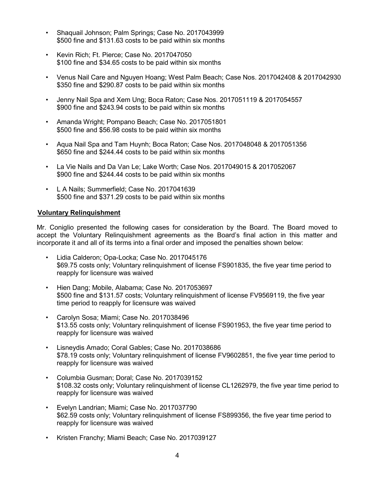- Shaquail Johnson; Palm Springs; Case No. 2017043999 \$500 fine and \$131.63 costs to be paid within six months
- Kevin Rich; Ft. Pierce; Case No. 2017047050 \$100 fine and \$34.65 costs to be paid within six months
- Venus Nail Care and Nguyen Hoang; West Palm Beach; Case Nos. 2017042408 & 2017042930 \$350 fine and \$290.87 costs to be paid within six months
- Jenny Nail Spa and Xem Ung; Boca Raton; Case Nos. 2017051119 & 2017054557 \$900 fine and \$243.94 costs to be paid within six months
- Amanda Wright; Pompano Beach; Case No. 2017051801 \$500 fine and \$56.98 costs to be paid within six months
- Aqua Nail Spa and Tam Huynh; Boca Raton; Case Nos. 2017048048 & 2017051356 \$650 fine and \$244.44 costs to be paid within six months
- La Vie Nails and Da Van Le; Lake Worth; Case Nos. 2017049015 & 2017052067 \$900 fine and \$244.44 costs to be paid within six months
- L A Nails; Summerfield; Case No. 2017041639 \$500 fine and \$371.29 costs to be paid within six months

# **Voluntary Relinquishment**

Mr. Coniglio presented the following cases for consideration by the Board. The Board moved to accept the Voluntary Relinquishment agreements as the Board's final action in this matter and incorporate it and all of its terms into a final order and imposed the penalties shown below:

- Lidia Calderon; Opa-Locka; Case No. 2017045176 \$69.75 costs only; Voluntary relinquishment of license FS901835, the five year time period to reapply for licensure was waived
- Hien Dang; Mobile, Alabama; Case No. 2017053697 \$500 fine and \$131.57 costs; Voluntary relinquishment of license FV9569119, the five year time period to reapply for licensure was waived
- Carolyn Sosa; Miami; Case No. 2017038496 \$13.55 costs only; Voluntary relinquishment of license FS901953, the five year time period to reapply for licensure was waived
- Lisneydis Amado; Coral Gables; Case No. 2017038686 \$78.19 costs only; Voluntary relinquishment of license FV9602851, the five year time period to reapply for licensure was waived
- Columbia Gusman; Doral; Case No. 2017039152 \$108.32 costs only; Voluntary relinquishment of license CL1262979, the five year time period to reapply for licensure was waived
- Evelyn Landrian; Miami; Case No. 2017037790 \$62.59 costs only; Voluntary relinquishment of license FS899356, the five year time period to reapply for licensure was waived
- Kristen Franchy; Miami Beach; Case No. 2017039127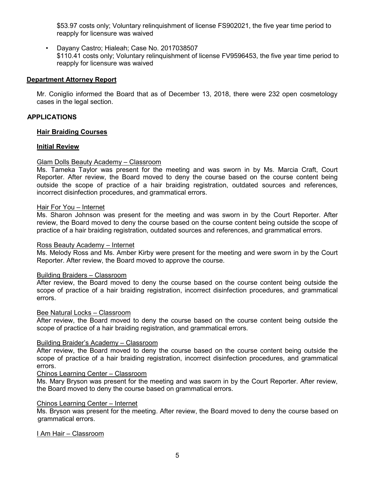\$53.97 costs only; Voluntary relinquishment of license FS902021, the five year time period to reapply for licensure was waived

• Dayany Castro; Hialeah; Case No. 2017038507 \$110.41 costs only; Voluntary relinquishment of license FV9596453, the five year time period to reapply for licensure was waived

# **Department Attorney Report**

Mr. Coniglio informed the Board that as of December 13, 2018, there were 232 open cosmetology cases in the legal section.

# **APPLICATIONS**

# **Hair Braiding Courses**

# **Initial Review**

# Glam Dolls Beauty Academy – Classroom

Ms. Tameka Taylor was present for the meeting and was sworn in by Ms. Marcia Craft, Court Reporter. After review, the Board moved to deny the course based on the course content being outside the scope of practice of a hair braiding registration, outdated sources and references, incorrect disinfection procedures, and grammatical errors.

#### Hair For You – Internet

Ms. Sharon Johnson was present for the meeting and was sworn in by the Court Reporter. After review, the Board moved to deny the course based on the course content being outside the scope of practice of a hair braiding registration, outdated sources and references, and grammatical errors.

# Ross Beauty Academy – Internet

Ms. Melody Ross and Ms. Amber Kirby were present for the meeting and were sworn in by the Court Reporter. After review, the Board moved to approve the course.

# Building Braiders – Classroom

After review, the Board moved to deny the course based on the course content being outside the scope of practice of a hair braiding registration, incorrect disinfection procedures, and grammatical errors.

# Bee Natural Locks – Classroom

After review, the Board moved to deny the course based on the course content being outside the scope of practice of a hair braiding registration, and grammatical errors.

# Building Braider's Academy – Classroom

After review, the Board moved to deny the course based on the course content being outside the scope of practice of a hair braiding registration, incorrect disinfection procedures, and grammatical errors.

# Chinos Learning Center – Classroom

Ms. Mary Bryson was present for the meeting and was sworn in by the Court Reporter. After review, the Board moved to deny the course based on grammatical errors.

#### Chinos Learning Center – Internet

Ms. Bryson was present for the meeting. After review, the Board moved to deny the course based on grammatical errors.

# I Am Hair – Classroom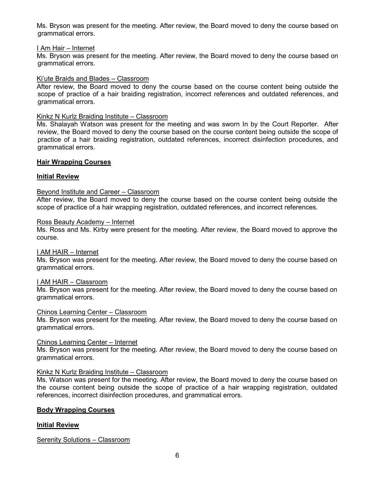Ms. Bryson was present for the meeting. After review, the Board moved to deny the course based on grammatical errors.

# I Am Hair – Internet

Ms. Bryson was present for the meeting. After review, the Board moved to deny the course based on grammatical errors.

# Ki'ute Braids and Blades – Classroom

After review, the Board moved to deny the course based on the course content being outside the scope of practice of a hair braiding registration, incorrect references and outdated references, and grammatical errors.

# Kinkz N Kurlz Braiding Institute – Classroom

Ms. Shalayah Watson was present for the meeting and was sworn In by the Court Reporter. After review, the Board moved to deny the course based on the course content being outside the scope of practice of a hair braiding registration, outdated references, incorrect disinfection procedures, and grammatical errors.

# **Hair Wrapping Courses**

# **Initial Review**

# Beyond Institute and Career – Classroom

After review, the Board moved to deny the course based on the course content being outside the scope of practice of a hair wrapping registration, outdated references, and incorrect references.

# Ross Beauty Academy – Internet

Ms. Ross and Ms. Kirby were present for the meeting. After review, the Board moved to approve the course.

# I AM HAIR – Internet

Ms. Bryson was present for the meeting. After review, the Board moved to deny the course based on grammatical errors.

# I AM HAIR – Classroom

Ms. Bryson was present for the meeting. After review, the Board moved to deny the course based on grammatical errors.

# Chinos Learning Center – Classroom

Ms. Bryson was present for the meeting. After review, the Board moved to deny the course based on grammatical errors.

# Chinos Learning Center – Internet

Ms. Bryson was present for the meeting. After review, the Board moved to deny the course based on grammatical errors.

# Kinkz N Kurlz Braiding Institute – Classroom

Ms. Watson was present for the meeting. After review, the Board moved to deny the course based on the course content being outside the scope of practice of a hair wrapping registration, outdated references, incorrect disinfection procedures, and grammatical errors.

# **Body Wrapping Courses**

# **Initial Review**

Serenity Solutions – Classroom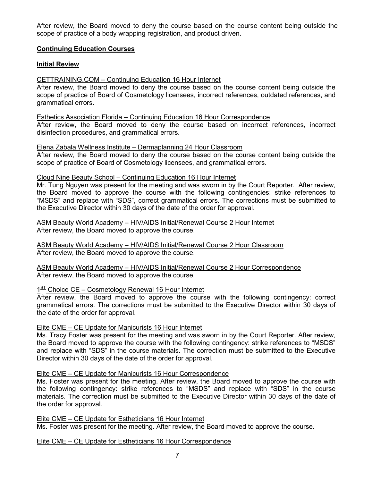After review, the Board moved to deny the course based on the course content being outside the scope of practice of a body wrapping registration, and product driven.

# **Continuing Education Courses**

# **Initial Review**

# CETTRAINING.COM – Continuing Education 16 Hour Internet

After review, the Board moved to deny the course based on the course content being outside the scope of practice of Board of Cosmetology licensees, incorrect references, outdated references, and grammatical errors.

# Esthetics Association Florida – Continuing Education 16 Hour Correspondence

After review, the Board moved to deny the course based on incorrect references, incorrect disinfection procedures, and grammatical errors.

# Elena Zabala Wellness Institute – Dermaplanning 24 Hour Classroom

After review, the Board moved to deny the course based on the course content being outside the scope of practice of Board of Cosmetology licensees, and grammatical errors.

# Cloud Nine Beauty School – Continuing Education 16 Hour Internet

Mr. Tung Nguyen was present for the meeting and was sworn in by the Court Reporter. After review, the Board moved to approve the course with the following contingencies: strike references to "MSDS" and replace with "SDS", correct grammatical errors. The corrections must be submitted to the Executive Director within 30 days of the date of the order for approval.

# ASM Beauty World Academy – HIV/AIDS Initial/Renewal Course 2 Hour Internet After review, the Board moved to approve the course.

ASM Beauty World Academy – HIV/AIDS Initial/Renewal Course 2 Hour Classroom After review, the Board moved to approve the course.

ASM Beauty World Academy – HIV/AIDS Initial/Renewal Course 2 Hour Correspondence After review, the Board moved to approve the course.

# $1<sup>ST</sup>$  Choice CE – Cosmetology Renewal 16 Hour Internet

After review, the Board moved to approve the course with the following contingency: correct grammatical errors. The corrections must be submitted to the Executive Director within 30 days of the date of the order for approval.

# Elite CME – CE Update for Manicurists 16 Hour Internet

Ms. Tracy Foster was present for the meeting and was sworn in by the Court Reporter. After review, the Board moved to approve the course with the following contingency: strike references to "MSDS" and replace with "SDS" in the course materials. The correction must be submitted to the Executive Director within 30 days of the date of the order for approval.

# Elite CME – CE Update for Manicurists 16 Hour Correspondence

Ms. Foster was present for the meeting. After review, the Board moved to approve the course with the following contingency: strike references to "MSDS" and replace with "SDS" in the course materials. The correction must be submitted to the Executive Director within 30 days of the date of the order for approval.

Elite CME – CE Update for Estheticians 16 Hour Internet Ms. Foster was present for the meeting. After review, the Board moved to approve the course.

# Elite CME – CE Update for Estheticians 16 Hour Correspondence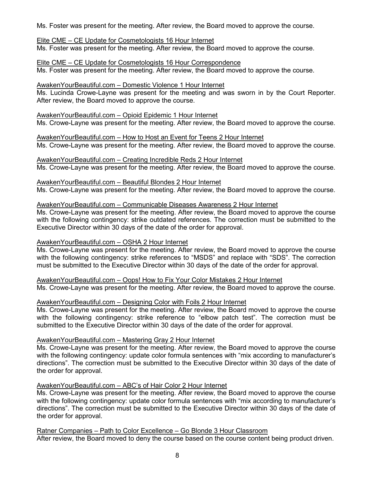Ms. Foster was present for the meeting. After review, the Board moved to approve the course.

# Elite CME – CE Update for Cosmetologists 16 Hour Internet

Ms. Foster was present for the meeting. After review, the Board moved to approve the course.

Elite CME – CE Update for Cosmetologists 16 Hour Correspondence Ms. Foster was present for the meeting. After review, the Board moved to approve the course.

# AwakenYourBeautiful.com – Domestic Violence 1 Hour Internet

Ms. Lucinda Crowe-Layne was present for the meeting and was sworn in by the Court Reporter. After review, the Board moved to approve the course.

# AwakenYourBeautiful.com – Opioid Epidemic 1 Hour Internet

Ms. Crowe-Layne was present for the meeting. After review, the Board moved to approve the course.

AwakenYourBeautiful.com – How to Host an Event for Teens 2 Hour Internet Ms. Crowe-Layne was present for the meeting. After review, the Board moved to approve the course.

AwakenYourBeautiful.com – Creating Incredible Reds 2 Hour Internet Ms. Crowe-Layne was present for the meeting. After review, the Board moved to approve the course.

AwakenYourBeautiful.com – Beautiful Blondes 2 Hour Internet Ms. Crowe-Layne was present for the meeting. After review, the Board moved to approve the course.

# AwakenYourBeautiful.com – Communicable Diseases Awareness 2 Hour Internet

Ms. Crowe-Layne was present for the meeting. After review, the Board moved to approve the course with the following contingency: strike outdated references. The correction must be submitted to the Executive Director within 30 days of the date of the order for approval.

# AwakenYourBeautiful.com – OSHA 2 Hour Internet

Ms. Crowe-Layne was present for the meeting. After review, the Board moved to approve the course with the following contingency: strike references to "MSDS" and replace with "SDS". The correction must be submitted to the Executive Director within 30 days of the date of the order for approval.

AwakenYourBeautiful.com – Oops! How to Fix Your Color Mistakes 2 Hour Internet Ms. Crowe-Layne was present for the meeting. After review, the Board moved to approve the course.

# AwakenYourBeautiful.com – Designing Color with Foils 2 Hour Internet

Ms. Crowe-Layne was present for the meeting. After review, the Board moved to approve the course with the following contingency: strike reference to "elbow patch test". The correction must be submitted to the Executive Director within 30 days of the date of the order for approval.

# AwakenYourBeautiful.com – Mastering Gray 2 Hour Internet

Ms. Crowe-Layne was present for the meeting. After review, the Board moved to approve the course with the following contingency: update color formula sentences with "mix according to manufacturer's directions". The correction must be submitted to the Executive Director within 30 days of the date of the order for approval.

# AwakenYourBeautiful.com – ABC's of Hair Color 2 Hour Internet

Ms. Crowe-Layne was present for the meeting. After review, the Board moved to approve the course with the following contingency: update color formula sentences with "mix according to manufacturer's directions". The correction must be submitted to the Executive Director within 30 days of the date of the order for approval.

Ratner Companies – Path to Color Excellence – Go Blonde 3 Hour Classroom After review, the Board moved to deny the course based on the course content being product driven.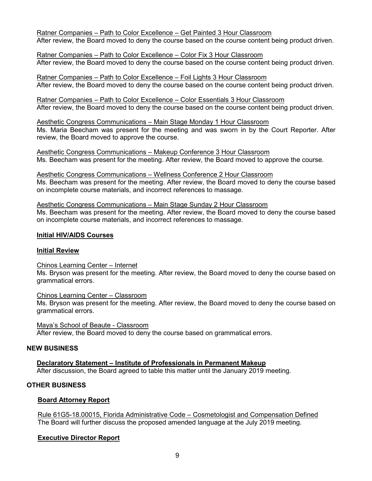Ratner Companies – Path to Color Excellence – Get Painted 3 Hour Classroom

After review, the Board moved to deny the course based on the course content being product driven.

Ratner Companies – Path to Color Excellence – Color Fix 3 Hour Classroom After review, the Board moved to deny the course based on the course content being product driven.

Ratner Companies – Path to Color Excellence – Foil Lights 3 Hour Classroom After review, the Board moved to deny the course based on the course content being product driven.

Ratner Companies – Path to Color Excellence – Color Essentials 3 Hour Classroom After review, the Board moved to deny the course based on the course content being product driven.

Aesthetic Congress Communications – Main Stage Monday 1 Hour Classroom Ms. Maria Beecham was present for the meeting and was sworn in by the Court Reporter. After review, the Board moved to approve the course.

Aesthetic Congress Communications – Makeup Conference 3 Hour Classroom Ms. Beecham was present for the meeting. After review, the Board moved to approve the course.

Aesthetic Congress Communications – Wellness Conference 2 Hour Classroom Ms. Beecham was present for the meeting. After review, the Board moved to deny the course based on incomplete course materials, and incorrect references to massage.

# Aesthetic Congress Communications – Main Stage Sunday 2 Hour Classroom

Ms. Beecham was present for the meeting. After review, the Board moved to deny the course based on incomplete course materials, and incorrect references to massage.

# **Initial HIV/AIDS Courses**

# **Initial Review**

# Chinos Learning Center – Internet

Ms. Bryson was present for the meeting. After review, the Board moved to deny the course based on grammatical errors.

# Chinos Learning Center – Classroom

Ms. Bryson was present for the meeting. After review, the Board moved to deny the course based on grammatical errors.

Maya's School of Beaute - Classroom After review, the Board moved to deny the course based on grammatical errors.

# **NEW BUSINESS**

# **Declaratory Statement – Institute of Professionals in Permanent Makeup**

After discussion, the Board agreed to table this matter until the January 2019 meeting.

# **OTHER BUSINESS**

# **Board Attorney Report**

Rule 61G5-18.00015, Florida Administrative Code – Cosmetologist and Compensation Defined The Board will further discuss the proposed amended language at the July 2019 meeting.

# **Executive Director Report**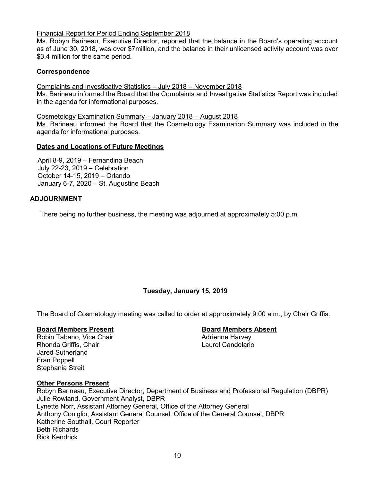# Financial Report for Period Ending September 2018

Ms. Robyn Barineau, Executive Director, reported that the balance in the Board's operating account as of June 30, 2018, was over \$7million, and the balance in their unlicensed activity account was over \$3.4 million for the same period.

# **Correspondence**

Complaints and Investigative Statistics – July 2018 – November 2018 Ms. Barineau informed the Board that the Complaints and Investigative Statistics Report was included in the agenda for informational purposes.

Cosmetology Examination Summary – January 2018 – August 2018

Ms. Barineau informed the Board that the Cosmetology Examination Summary was included in the agenda for informational purposes.

# **Dates and Locations of Future Meetings**

April 8-9, 2019 – Fernandina Beach July 22-23, 2019 – Celebration October 14-15, 2019 – Orlando January 6-7, 2020 – St. Augustine Beach

# **ADJOURNMENT**

There being no further business, the meeting was adjourned at approximately 5:00 p.m.

# **Tuesday, January 15, 2019**

The Board of Cosmetology meeting was called to order at approximately 9:00 a.m., by Chair Griffis.

# **Board Members Present**<br> **Robin Tabano, Vice Chair**<br> **Board Members Absent**<br> **Adrienne Harvey**

Robin Tabano, Vice Chair Rhonda Griffis, Chair **Laurel Candelario Laurel Candelario** Jared Sutherland Fran Poppell Stephania Streit

# **Other Persons Present**

Robyn Barineau, Executive Director, Department of Business and Professional Regulation (DBPR) Julie Rowland, Government Analyst, DBPR Lynette Norr, Assistant Attorney General, Office of the Attorney General Anthony Coniglio, Assistant General Counsel, Office of the General Counsel, DBPR Katherine Southall, Court Reporter Beth Richards Rick Kendrick